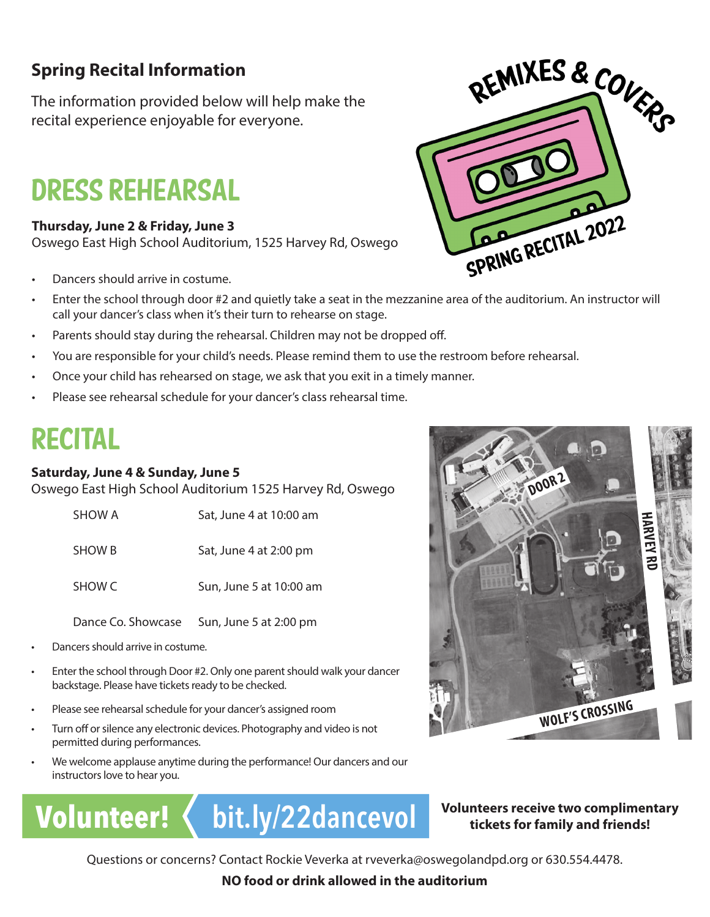## **Spring Recital Information**

The information provided below will help make the recital experience enjoyable for everyone.

# DRESS REHEARSAL

#### **Thursday, June 2 & Friday, June 3**

Oswego East High School Auditorium, 1525 Harvey Rd, Oswego

- Dancers should arrive in costume.
- Enter the school through door #2 and quietly take a seat in the mezzanine area of the auditorium. An instructor will call your dancer's class when it's their turn to rehearse on stage.
- Parents should stay during the rehearsal. Children may not be dropped off.
- You are responsible for your child's needs. Please remind them to use the restroom before rehearsal.
- Once your child has rehearsed on stage, we ask that you exit in a timely manner.
- Please see rehearsal schedule for your dancer's class rehearsal time.

## RECITAL

#### **Saturday, June 4 & Sunday, June 5**

Oswego East High School Auditorium 1525 Harvey Rd, Oswego

| SHOW A | Sat, June 4 at 10:00 am |
|--------|-------------------------|
| SHOW B | Sat, June 4 at 2:00 pm  |

SHOW C Sun, June 5 at 10:00 am

Dance Co. Showcase Sun, June 5 at 2:00 pm

- Dancers should arrive in costume.
- Enter the school through Door #2. Only one parent should walk your dancer backstage. Please have tickets ready to be checked.
- Please see rehearsal schedule for your dancer's assigned room
- Turn off or silence any electronic devices. Photography and video is not permitted during performances.
- We welcome applause anytime during the performance! Our dancers and our instructors love to hear you.

# **Volunteer! < bit.ly/22dancevol**

#### **Volunteers receive two complimentary tickets for family and friends!**

**WOLF'S CROSSING**

**HARVEY RD**

Questions or concerns? Contact Rockie Veverka at rveverka@oswegolandpd.org or 630.554.4478.

**NO food or drink allowed in the auditorium**





**DOOR 2**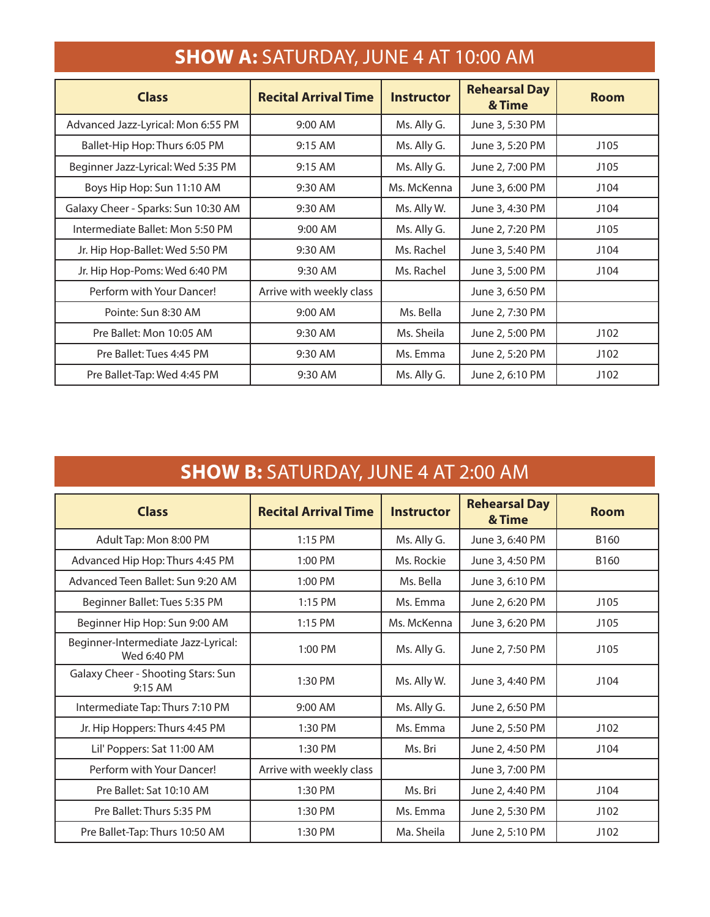| <b>SHOW A.</b> SAFURDAI, SUNL TAL TO, OU AM |                             |                   |                                |             |
|---------------------------------------------|-----------------------------|-------------------|--------------------------------|-------------|
| <b>Class</b>                                | <b>Recital Arrival Time</b> | <b>Instructor</b> | <b>Rehearsal Day</b><br>& Time | <b>Room</b> |
| Advanced Jazz-Lyrical: Mon 6:55 PM          | 9:00 AM                     | Ms. Ally G.       | June 3, 5:30 PM                |             |
| Ballet-Hip Hop: Thurs 6:05 PM               | 9:15 AM                     | Ms. Ally G.       | June 3, 5:20 PM                | J105        |
| Beginner Jazz-Lyrical: Wed 5:35 PM          | 9:15 AM                     | Ms. Ally G.       | June 2, 7:00 PM                | J105        |
| Boys Hip Hop: Sun 11:10 AM                  | 9:30 AM                     | Ms. McKenna       | June 3, 6:00 PM                | J104        |
| Galaxy Cheer - Sparks: Sun 10:30 AM         | 9:30 AM                     | Ms. Ally W.       | June 3, 4:30 PM                | J104        |
| Intermediate Ballet: Mon 5:50 PM            | 9:00 AM                     | Ms. Ally G.       | June 2, 7:20 PM                | J105        |
| Jr. Hip Hop-Ballet: Wed 5:50 PM             | 9:30 AM                     | Ms. Rachel        | June 3, 5:40 PM                | J104        |
| Jr. Hip Hop-Poms: Wed 6:40 PM               | 9:30 AM                     | Ms. Rachel        | June 3, 5:00 PM                | J104        |
| Perform with Your Dancer!                   | Arrive with weekly class    |                   | June 3, 6:50 PM                |             |
| Pointe: Sun 8:30 AM                         | 9:00 AM                     | Ms. Bella         | June 2, 7:30 PM                |             |
| Pre Ballet: Mon 10:05 AM                    | 9:30 AM                     | Ms. Sheila        | June 2, 5:00 PM                | J102        |
| Pre Ballet: Tues 4:45 PM                    | 9:30 AM                     | Ms. Emma          | June 2, 5:20 PM                | J102        |
| Pre Ballet-Tap: Wed 4:45 PM                 | 9:30 AM                     | Ms. Ally G.       | June 2, 6:10 PM                | J102        |

### **SHOW A:** SATURDAY, JUNE 4 AT 10:00 AM

## **SHOW B:** SATURDAY, JUNE 4 AT 2:00 AM

| <b>Class</b>                                       | <b>Recital Arrival Time</b> | <b>Instructor</b> | <b>Rehearsal Day</b><br>& Time | <b>Room</b> |
|----------------------------------------------------|-----------------------------|-------------------|--------------------------------|-------------|
| Adult Tap: Mon 8:00 PM                             | 1:15 PM                     | Ms. Ally G.       | June 3, 6:40 PM                | B160        |
| Advanced Hip Hop: Thurs 4:45 PM                    | $1:00$ PM                   | Ms. Rockie        | June 3, 4:50 PM                | B160        |
| Advanced Teen Ballet: Sun 9:20 AM                  | 1:00 PM                     | Ms. Bella         | June 3, 6:10 PM                |             |
| Beginner Ballet: Tues 5:35 PM                      | $1:15$ PM                   | Ms. Emma          | June 2, 6:20 PM                | J105        |
| Beginner Hip Hop: Sun 9:00 AM                      | 1:15 PM                     | Ms. McKenna       | June 3, 6:20 PM                | J105        |
| Beginner-Intermediate Jazz-Lyrical:<br>Wed 6:40 PM | 1:00 PM                     | Ms. Ally G.       | June 2, 7:50 PM                | J105        |
| Galaxy Cheer - Shooting Stars: Sun<br>9:15 AM      | 1:30 PM                     | Ms. Ally W.       | June 3, 4:40 PM                | J104        |
| Intermediate Tap: Thurs 7:10 PM                    | 9:00 AM                     | Ms. Ally G.       | June 2, 6:50 PM                |             |
| Jr. Hip Hoppers: Thurs 4:45 PM                     | 1:30 PM                     | Ms. Emma          | June 2, 5:50 PM                | J102        |
| Lil' Poppers: Sat 11:00 AM                         | 1:30 PM                     | Ms. Bri           | June 2, 4:50 PM                | J104        |
| Perform with Your Dancer!                          | Arrive with weekly class    |                   | June 3, 7:00 PM                |             |
| Pre Ballet: Sat 10:10 AM                           | 1:30 PM                     | Ms. Bri           | June 2, 4:40 PM                | J104        |
| Pre Ballet: Thurs 5:35 PM                          | 1:30 PM                     | Ms. Emma          | June 2, 5:30 PM                | J102        |
| Pre Ballet-Tap: Thurs 10:50 AM                     | 1:30 PM                     | Ma. Sheila        | June 2, 5:10 PM                | J102        |